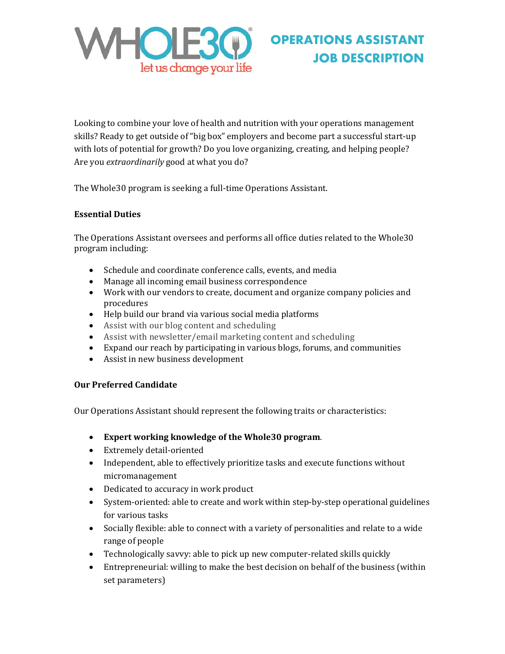

# **OPERATIONS ASSISTANT JOB DESCRIPTION**

Looking to combine your love of health and nutrition with your operations management skills? Ready to get outside of "big box" employers and become part a successful start-up with lots of potential for growth? Do you love organizing, creating, and helping people? Are you *extraordinarily* good at what you do?

The Whole30 program is seeking a full-time Operations Assistant.

## **Essential Duties**

The Operations Assistant oversees and performs all office duties related to the Whole30 program including:

- Schedule and coordinate conference calls, events, and media
- Manage all incoming email business correspondence
- Work with our vendors to create, document and organize company policies and procedures
- Help build our brand via various social media platforms
- Assist with our blog content and scheduling
- Assist with newsletter/email marketing content and scheduling
- Expand our reach by participating in various blogs, forums, and communities
- Assist in new business development

## **Our Preferred Candidate**

Our Operations Assistant should represent the following traits or characteristics:

- **Expert working knowledge of the Whole30 program**.
- Extremely detail-oriented
- Independent, able to effectively prioritize tasks and execute functions without micromanagement
- Dedicated to accuracy in work product
- System-oriented: able to create and work within step-by-step operational guidelines for various tasks
- Socially flexible: able to connect with a variety of personalities and relate to a wide range of people
- Technologically savvy: able to pick up new computer-related skills quickly
- Entrepreneurial: willing to make the best decision on behalf of the business (within set parameters)